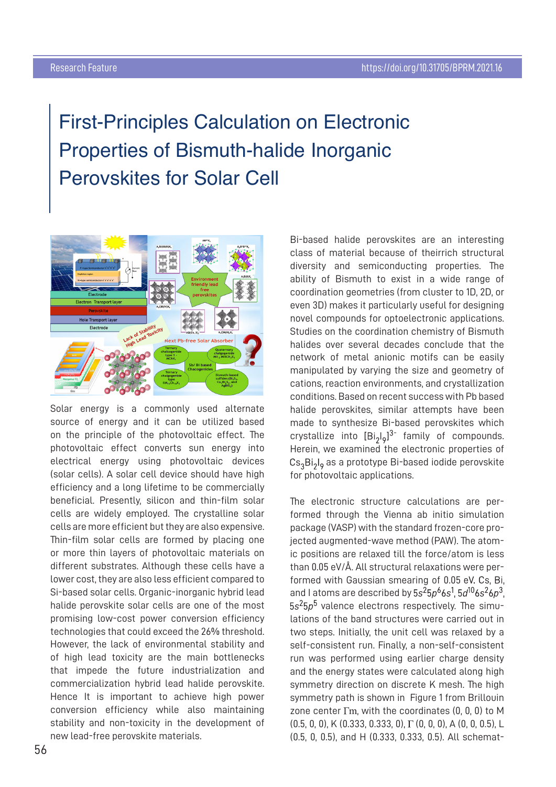## First-Principles Calculation on Electronic Properties of Bismuth-halide Inorganic Perovskites for Solar Cell



Solar energy is a commonly used alternate source of energy and it can be utilized based on the principle of the photovoltaic effect. The photovoltaic effect converts sun energy into electrical energy using photovoltaic devices (solar cells). A solar cell device should have high efficiency and a long lifetime to be commercially beneficial. Presently, silicon and thin-film solar cells are widely employed. The crystalline solar cells are more efficient but they are also expensive. Thin-film solar cells are formed by placing one or more thin layers of photovoltaic materials on different substrates. Although these cells have a lower cost, they are also less efficient compared to Si-based solar cells. Organic-inorganic hybrid lead halide perovskite solar cells are one of the most promising low-cost power conversion efficiency technologies that could exceed the 26% threshold. However, the lack of environmental stability and of high lead toxicity are the main bottlenecks that impede the future industrialization and commercialization hybrid lead halide perovskite. Hence It is important to achieve high power conversion efficiency while also maintaining stability and non-toxicity in the development of new lead-free perovskite materials.

Bi-based halide perovskites are an interesting class of material because of theirrich structural diversity and semiconducting properties. The ability of Bismuth to exist in a wide range of coordination geometries (from cluster to 1D, 2D, or even 3D) makes it particularly useful for designing novel compounds for optoelectronic applications. Studies on the coordination chemistry of Bismuth halides over several decades conclude that the network of metal anionic motifs can be easily manipulated by varying the size and geometry of cations, reaction environments, and crystallization conditions. Based on recent success with Pb based halide perovskites, similar attempts have been made to synthesize Bi-based perovskites which crystallize into  $[Bi_0]_0^{3}$  family of compounds. Herein, we examined the electronic properties of  $Cs<sub>3</sub>Bi<sub>2</sub>I<sub>o</sub>$  as a prototype Bi-based iodide perovskite for photovoltaic applications.

The electronic structure calculations are performed through the Vienna ab initio simulation package (VASP) with the standard frozen-core projected augmented-wave method (PAW). The atomic positions are relaxed till the force/atom is less than 0.05 eV/Å. All structural relaxations were performed with Gaussian smearing of 0.05 eV. Cs. Bi. and I atoms are described by  $5s^25p^66s^1$ ,  $5d^{10}6s^26p^3$ ,  $5s<sup>2</sup>5p<sup>5</sup>$  valence electrons respectively. The simulations of the band structures were carried out in two steps. Initially, the unit cell was relaxed by a self-consistent run. Finally, a non-self-consistent run was performed using earlier charge density and the energy states were calculated along high symmetry direction on discrete K mesh. The high symmetry path is shown in Figure 1 from Brillouin zone center  $\Gamma$ m, with the coordinates  $(0, 0, 0)$  to M  $(0.5, 0, 0)$ , K $(0.333, 0.333, 0)$ ,  $\Gamma$  $(0, 0, 0)$ , A $(0, 0, 0.5)$ , L (0.5, 0, 0.5), and H (0.333, 0.333, 0.5). All schemat-